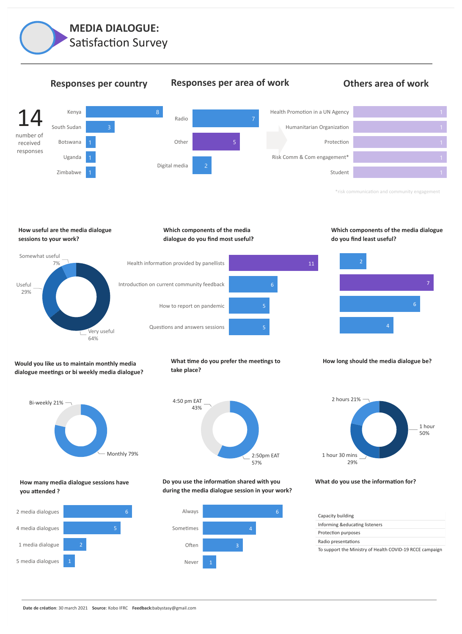# **MEDIA DIALOGUE:** Satisfaction Survey

**Responses per country** \*risk communication and community engagement Kenya South Sudan Botswana Uganda Zimbabwe 8 3 14 number of received responses **Responses per area of work** Radio Other Digital media 7 5 2 **Others area of work** Health Promotion in a UN Agency Humanitarian Organization Protection Risk Comm & Com engagement\* Student

**How useful are the media dialogue sessions to your work?**



#### **Which components of the media dialogue do you find most useful?**





## **Which components of the media dialogue do you find least useful?**



**How long should the media dialogue be?**



**Would you like us to maintain monthly media dialogue meengs or bi weekly media dialogue?**

### **What me do you prefer the meengs to take place?**



**Do** you use the information shared with you **during the media dialogue session in your work?**





#### **What do you use the information for?**

| Capacity building                                        |
|----------------------------------------------------------|
| Informing & educating listeners                          |
| Protection purposes                                      |
| Radio presentations                                      |
| To support the Ministry of Health COVID-19 RCCE campaign |

#### **How many media dialogue sessions have you** attended?